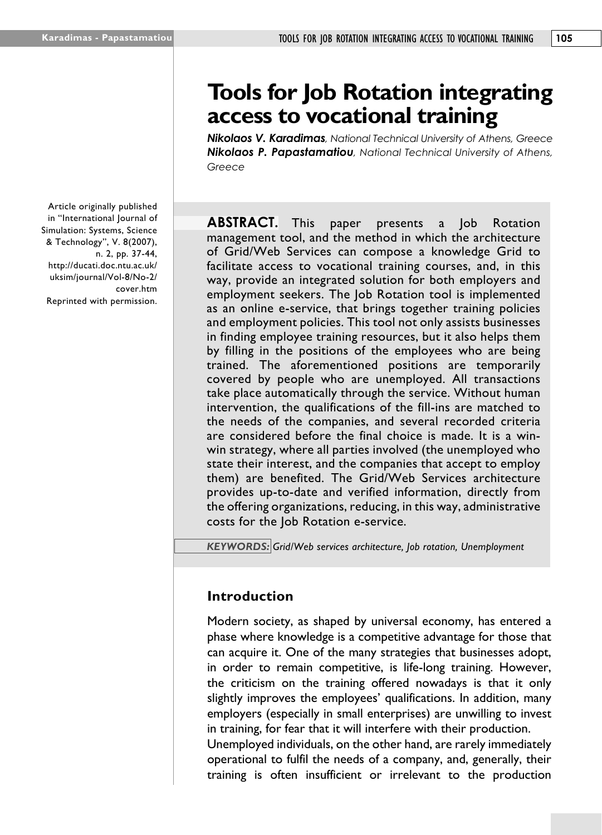Article originally published in "International Journal of Simulation: Systems, Science & Technology", V. 8(2007), n. 2, pp. 37-44, http://ducati.doc.ntu.ac.uk/ uksim/journal/Vol-8/No-2/ cover.htm Reprinted with permission.

# **Tools for Job Rotation integrating access to vocational training**

*Nikolaos V. Karadimas, National Technical University of Athens, Greece Nikolaos P. Papastamatiou, National Technical University of Athens, Greece*

**ABSTRACT.** This paper presents a Job Rotation management tool, and the method in which the architecture of Grid/Web Services can compose a knowledge Grid to facilitate access to vocational training courses, and, in this way, provide an integrated solution for both employers and employment seekers. The Job Rotation tool is implemented as an online e-service, that brings together training policies and employment policies. This tool not only assists businesses in finding employee training resources, but it also helps them by filling in the positions of the employees who are being trained. The aforementioned positions are temporarily covered by people who are unemployed. All transactions take place automatically through the service. Without human intervention, the qualifications of the fill-ins are matched to the needs of the companies, and several recorded criteria are considered before the final choice is made. It is a winwin strategy, where all parties involved (the unemployed who state their interest, and the companies that accept to employ them) are benefited. The Grid/Web Services architecture provides up-to-date and verified information, directly from the offering organizations, reducing, in this way, administrative costs for the Job Rotation e-service.

*KEYWORDS: Grid/Web services architecture, Job rotation, Unemployment*

# **Introduction**

Modern society, as shaped by universal economy, has entered a phase where knowledge is a competitive advantage for those that can acquire it. One of the many strategies that businesses adopt, in order to remain competitive, is life-long training. However, the criticism on the training offered nowadays is that it only slightly improves the employees' qualifications. In addition, many employers (especially in small enterprises) are unwilling to invest in training, for fear that it will interfere with their production. Unemployed individuals, on the other hand, are rarely immediately

operational to fulfil the needs of a company, and, generally, their training is often insufficient or irrelevant to the production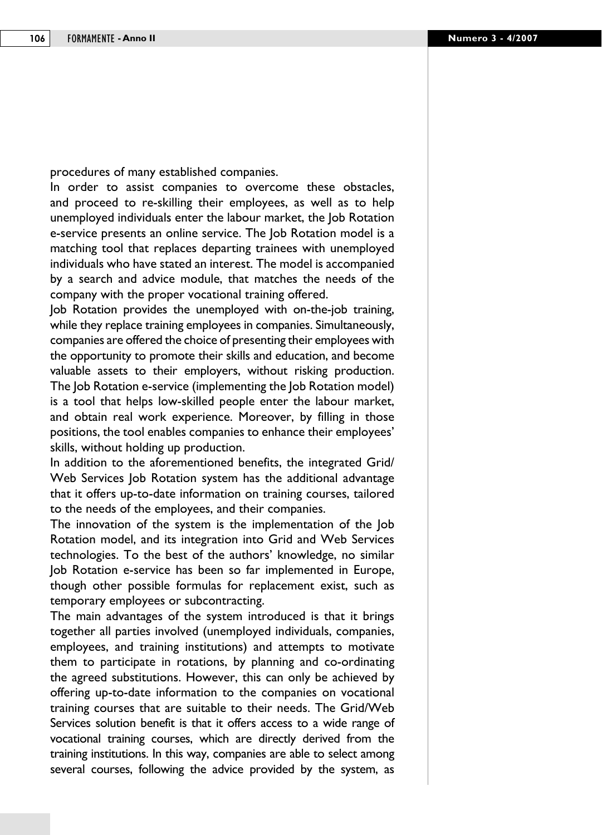procedures of many established companies.

In order to assist companies to overcome these obstacles, and proceed to re-skilling their employees, as well as to help unemployed individuals enter the labour market, the Job Rotation e-service presents an online service. The Job Rotation model is a matching tool that replaces departing trainees with unemployed individuals who have stated an interest. The model is accompanied by a search and advice module, that matches the needs of the company with the proper vocational training offered.

Job Rotation provides the unemployed with on-the-job training, while they replace training employees in companies. Simultaneously, companies are offered the choice of presenting their employees with the opportunity to promote their skills and education, and become valuable assets to their employers, without risking production. The Job Rotation e-service (implementing the Job Rotation model) is a tool that helps low-skilled people enter the labour market, and obtain real work experience. Moreover, by filling in those positions, the tool enables companies to enhance their employees' skills, without holding up production.

In addition to the aforementioned benefits, the integrated Grid/ Web Services Job Rotation system has the additional advantage that it offers up-to-date information on training courses, tailored to the needs of the employees, and their companies.

The innovation of the system is the implementation of the Job Rotation model, and its integration into Grid and Web Services technologies. To the best of the authors' knowledge, no similar Job Rotation e-service has been so far implemented in Europe, though other possible formulas for replacement exist, such as temporary employees or subcontracting.

The main advantages of the system introduced is that it brings together all parties involved (unemployed individuals, companies, employees, and training institutions) and attempts to motivate them to participate in rotations, by planning and co-ordinating the agreed substitutions. However, this can only be achieved by offering up-to-date information to the companies on vocational training courses that are suitable to their needs. The Grid/Web Services solution benefit is that it offers access to a wide range of vocational training courses, which are directly derived from the training institutions. In this way, companies are able to select among several courses, following the advice provided by the system, as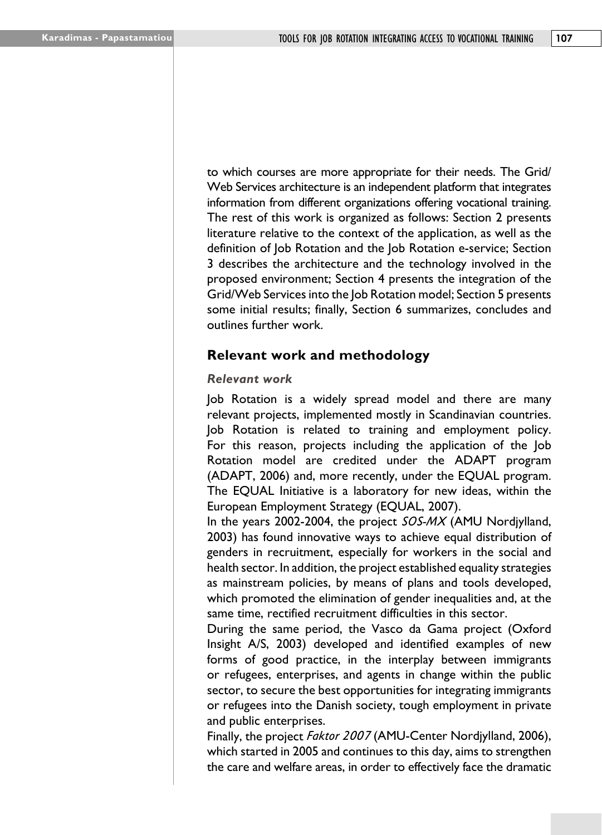to which courses are more appropriate for their needs. The Grid/ Web Services architecture is an independent platform that integrates information from different organizations offering vocational training. The rest of this work is organized as follows: Section 2 presents literature relative to the context of the application, as well as the definition of Job Rotation and the Job Rotation e-service; Section 3 describes the architecture and the technology involved in the proposed environment; Section 4 presents the integration of the Grid/Web Services into the Job Rotation model; Section 5 presents some initial results; finally, Section 6 summarizes, concludes and outlines further work.

# **Relevant work and methodology**

#### *Relevant work*

Job Rotation is a widely spread model and there are many relevant projects, implemented mostly in Scandinavian countries. Job Rotation is related to training and employment policy. For this reason, projects including the application of the Job Rotation model are credited under the ADAPT program (ADAPT, 2006) and, more recently, under the EQUAL program. The EQUAL Initiative is a laboratory for new ideas, within the European Employment Strategy (EQUAL, 2007).

In the years 2002-2004, the project *SOS-MX* (AMU Nordjylland, 2003) has found innovative ways to achieve equal distribution of genders in recruitment, especially for workers in the social and health sector. In addition, the project established equality strategies as mainstream policies, by means of plans and tools developed, which promoted the elimination of gender inequalities and, at the same time, rectified recruitment difficulties in this sector.

During the same period, the Vasco da Gama project (Oxford Insight A/S, 2003) developed and identified examples of new forms of good practice, in the interplay between immigrants or refugees, enterprises, and agents in change within the public sector, to secure the best opportunities for integrating immigrants or refugees into the Danish society, tough employment in private and public enterprises.

Finally, the project *Faktor 2007* (AMU-Center Nordjylland, 2006), which started in 2005 and continues to this day, aims to strengthen the care and welfare areas, in order to effectively face the dramatic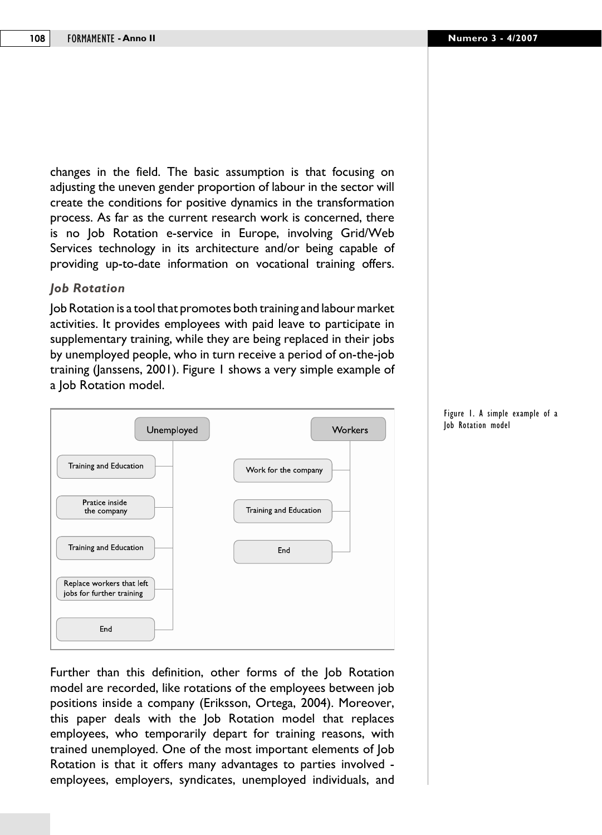changes in the field. The basic assumption is that focusing on adjusting the uneven gender proportion of labour in the sector will create the conditions for positive dynamics in the transformation process. As far as the current research work is concerned, there is no Job Rotation e-service in Europe, involving Grid/Web Services technology in its architecture and/or being capable of providing up-to-date information on vocational training offers.

#### *Job Rotation*

Job Rotation is a tool that promotes both training and labour market activities. It provides employees with paid leave to participate in supplementary training, while they are being replaced in their jobs by unemployed people, who in turn receive a period of on-the-job training (Janssens, 2001). Figure 1 shows a very simple example of a Job Rotation model.



Further than this definition, other forms of the Job Rotation model are recorded, like rotations of the employees between job positions inside a company (Eriksson, Ortega, 2004). Moreover, this paper deals with the Job Rotation model that replaces employees, who temporarily depart for training reasons, with trained unemployed. One of the most important elements of Job Rotation is that it offers many advantages to parties involved employees, employers, syndicates, unemployed individuals, and

Figure 1. A simple example of a Job Rotation model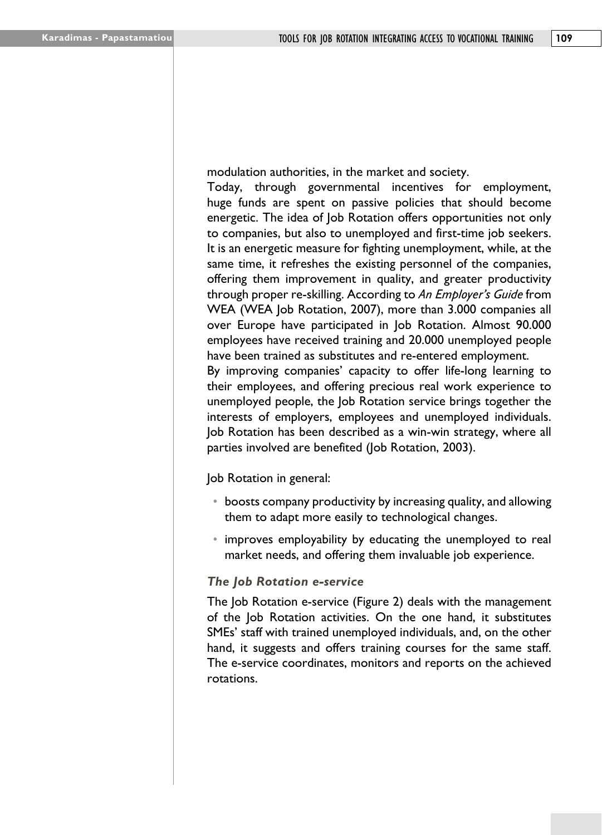modulation authorities, in the market and society.

Today, through governmental incentives for employment, huge funds are spent on passive policies that should become energetic. The idea of Job Rotation offers opportunities not only to companies, but also to unemployed and first-time job seekers. It is an energetic measure for fighting unemployment, while, at the same time, it refreshes the existing personnel of the companies, offering them improvement in quality, and greater productivity through proper re-skilling. According to *An Employer's Guide* from WEA (WEA Job Rotation, 2007), more than 3.000 companies all over Europe have participated in Job Rotation. Almost 90.000 employees have received training and 20.000 unemployed people have been trained as substitutes and re-entered employment. By improving companies' capacity to offer life-long learning to their employees, and offering precious real work experience to

unemployed people, the Job Rotation service brings together the interests of employers, employees and unemployed individuals. Job Rotation has been described as a win-win strategy, where all parties involved are benefited (Job Rotation, 2003).

Job Rotation in general:

- boosts company productivity by increasing quality, and allowing them to adapt more easily to technological changes.
- improves employability by educating the unemployed to real market needs, and offering them invaluable job experience.

#### *The Job Rotation e-service*

The Job Rotation e-service (Figure 2) deals with the management of the Job Rotation activities. On the one hand, it substitutes SMEs' staff with trained unemployed individuals, and, on the other hand, it suggests and offers training courses for the same staff. The e-service coordinates, monitors and reports on the achieved rotations.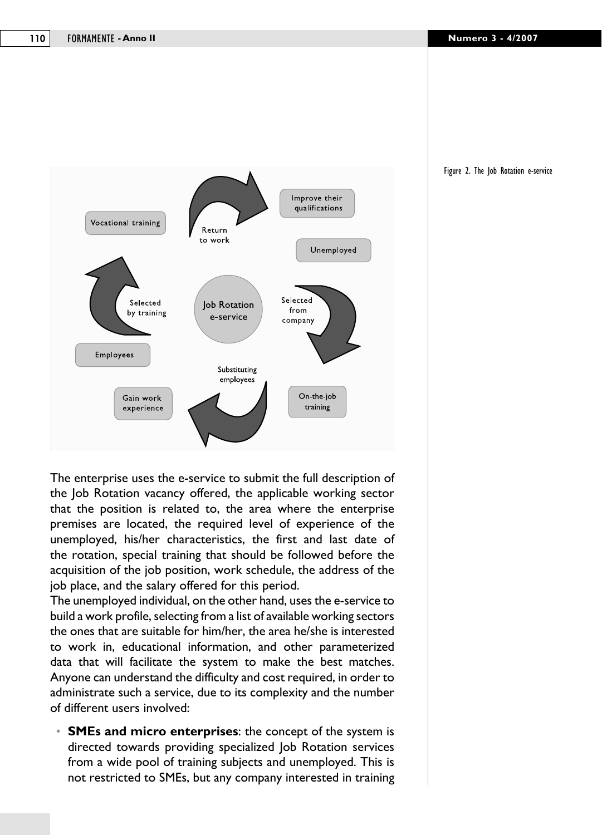



The enterprise uses the e-service to submit the full description of the Job Rotation vacancy offered, the applicable working sector that the position is related to, the area where the enterprise premises are located, the required level of experience of the unemployed, his/her characteristics, the first and last date of the rotation, special training that should be followed before the acquisition of the job position, work schedule, the address of the job place, and the salary offered for this period.

The unemployed individual, on the other hand, uses the e-service to build a work profile, selecting from a list of available working sectors the ones that are suitable for him/her, the area he/she is interested to work in, educational information, and other parameterized data that will facilitate the system to make the best matches. Anyone can understand the difficulty and cost required, in order to administrate such a service, due to its complexity and the number of different users involved:

**• SMEs and micro enterprises:** the concept of the system is directed towards providing specialized Job Rotation services from a wide pool of training subjects and unemployed. This is not restricted to SMEs, but any company interested in training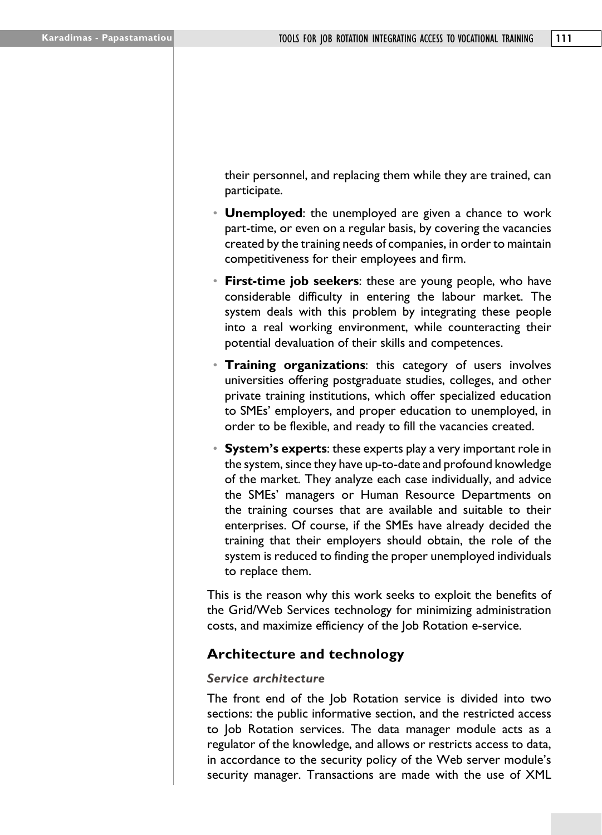their personnel, and replacing them while they are trained, can participate.

- • **Unemployed**: the unemployed are given a chance to work part-time, or even on a regular basis, by covering the vacancies created by the training needs of companies, in order to maintain competitiveness for their employees and firm.
- **First-time job seekers:** these are young people, who have considerable difficulty in entering the labour market. The system deals with this problem by integrating these people into a real working environment, while counteracting their potential devaluation of their skills and competences.
- **Training organizations:** this category of users involves universities offering postgraduate studies, colleges, and other private training institutions, which offer specialized education to SMEs' employers, and proper education to unemployed, in order to be flexible, and ready to fill the vacancies created.
- **System's experts**: these experts play a very important role in the system, since they have up-to-date and profound knowledge of the market. They analyze each case individually, and advice the SMEs' managers or Human Resource Departments on the training courses that are available and suitable to their enterprises. Of course, if the SMEs have already decided the training that their employers should obtain, the role of the system is reduced to finding the proper unemployed individuals to replace them.

This is the reason why this work seeks to exploit the benefits of the Grid/Web Services technology for minimizing administration costs, and maximize efficiency of the Job Rotation e-service.

# **Architecture and technology**

#### *Service architecture*

The front end of the Job Rotation service is divided into two sections: the public informative section, and the restricted access to Job Rotation services. The data manager module acts as a regulator of the knowledge, and allows or restricts access to data, in accordance to the security policy of the Web server module's security manager. Transactions are made with the use of XML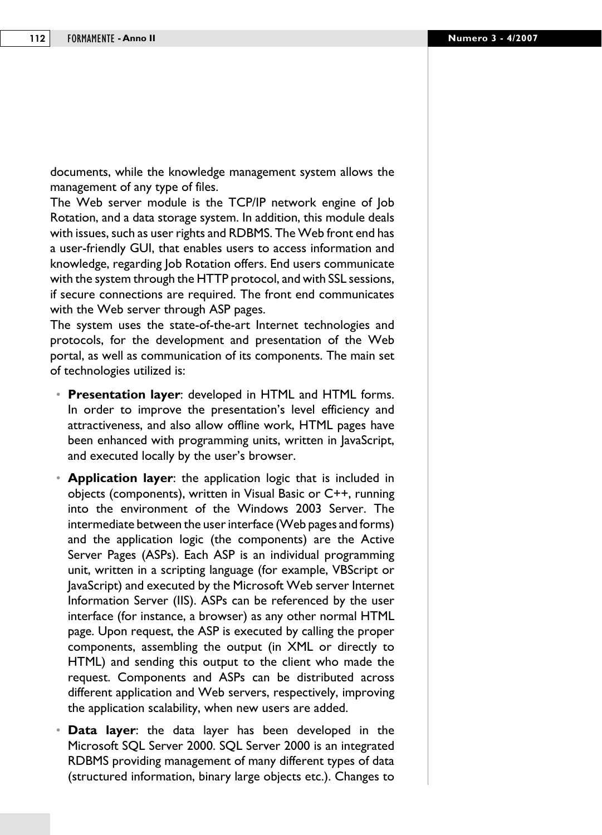documents, while the knowledge management system allows the management of any type of files.

The Web server module is the TCP/IP network engine of Job Rotation, and a data storage system. In addition, this module deals with issues, such as user rights and RDBMS. The Web front end has a user-friendly GUI, that enables users to access information and knowledge, regarding Job Rotation offers. End users communicate with the system through the HTTP protocol, and with SSL sessions, if secure connections are required. The front end communicates with the Web server through ASP pages.

The system uses the state-of-the-art Internet technologies and protocols, for the development and presentation of the Web portal, as well as communication of its components. The main set of technologies utilized is:

- • **Presentation layer**: developed in HTML and HTML forms. In order to improve the presentation's level efficiency and attractiveness, and also allow offline work, HTML pages have been enhanced with programming units, written in JavaScript, and executed locally by the user's browser.
- • **Application layer**: the application logic that is included in objects (components), written in Visual Basic or C++, running into the environment of the Windows 2003 Server. The intermediate between the user interface (Web pages and forms) and the application logic (the components) are the Active Server Pages (ASPs). Each ASP is an individual programming unit, written in a scripting language (for example, VBScript or JavaScript) and executed by the Microsoft Web server Internet Information Server (IIS). ASPs can be referenced by the user interface (for instance, a browser) as any other normal HTML page. Upon request, the ASP is executed by calling the proper components, assembling the output (in XML or directly to HTML) and sending this output to the client who made the request. Components and ASPs can be distributed across different application and Web servers, respectively, improving the application scalability, when new users are added.
- • **Data layer**: the data layer has been developed in the Microsoft SQL Server 2000. SQL Server 2000 is an integrated RDBMS providing management of many different types of data (structured information, binary large objects etc.). Changes to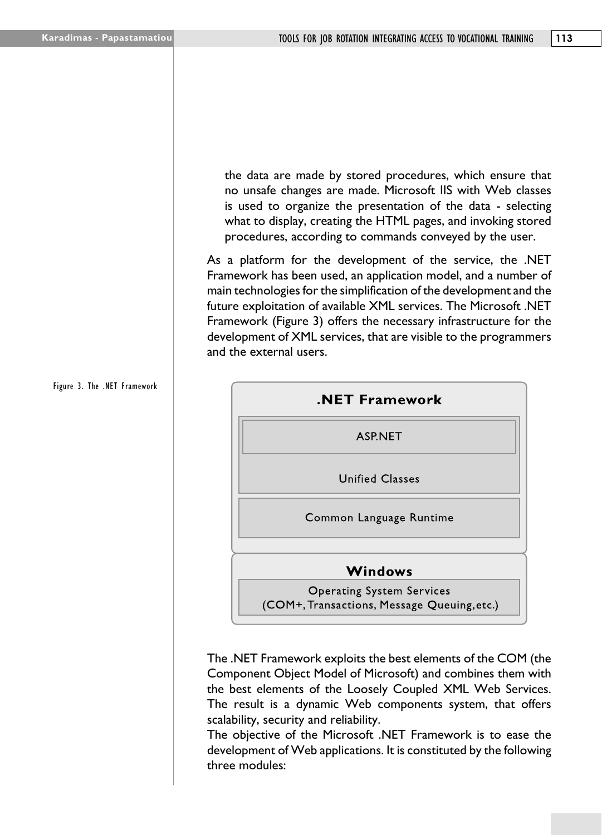the data are made by stored procedures, which ensure that no unsafe changes are made. Microsoft IIS with Web classes is used to organize the presentation of the data - selecting what to display, creating the HTML pages, and invoking stored procedures, according to commands conveyed by the user.

As a platform for the development of the service, the .NET Framework has been used, an application model, and a number of main technologies for the simplification of the development and the future exploitation of available XML services. The Microsoft .NET Framework (Figure 3) offers the necessary infrastructure for the development of XML services, that are visible to the programmers and the external users.



The .NET Framework exploits the best elements of the COM (the Component Object Model of Microsoft) and combines them with the best elements of the Loosely Coupled XML Web Services. The result is a dynamic Web components system, that offers scalability, security and reliability.

The objective of the Microsoft .NET Framework is to ease the development of Web applications. It is constituted by the following three modules:

## Figure 3. The .NET Framework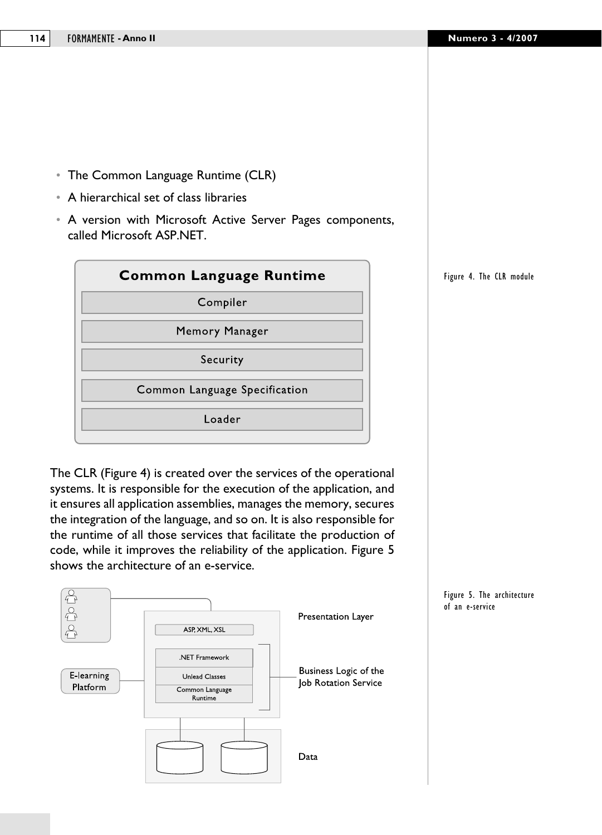- The Common Language Runtime (CLR)
- • A hierarchical set of class libraries
- • A version with Microsoft Active Server Pages components, called Microsoft ASP.NET.



The CLR (Figure 4) is created over the services of the operational systems. It is responsible for the execution of the application, and it ensures all application assemblies, manages the memory, secures the integration of the language, and so on. It is also responsible for the runtime of all those services that facilitate the production of code, while it improves the reliability of the application. Figure 5 shows the architecture of an e-service.



Figure 4. The CLR module

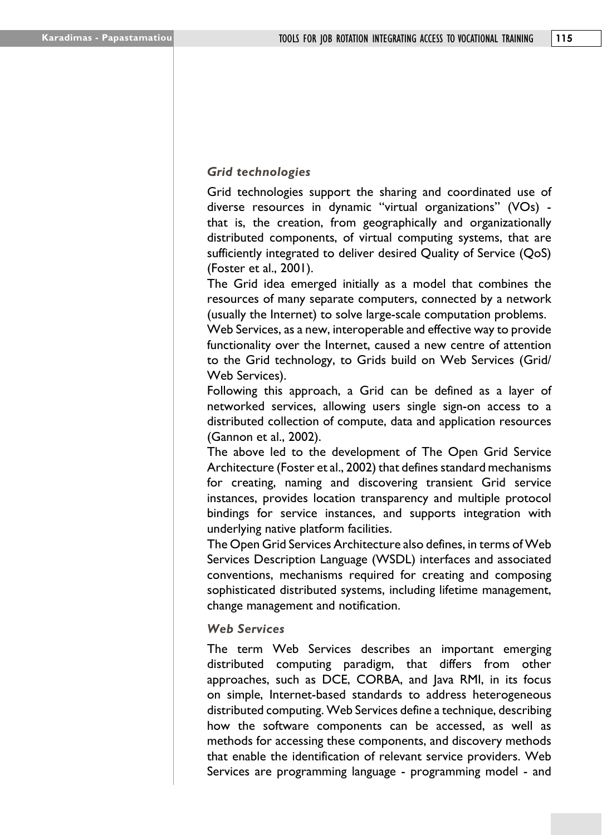#### *Grid technologies*

Grid technologies support the sharing and coordinated use of diverse resources in dynamic "virtual organizations" (VOs) that is, the creation, from geographically and organizationally distributed components, of virtual computing systems, that are sufficiently integrated to deliver desired Quality of Service (QoS) (Foster et al., 2001).

The Grid idea emerged initially as a model that combines the resources of many separate computers, connected by a network (usually the Internet) to solve large-scale computation problems.

Web Services, as a new, interoperable and effective way to provide functionality over the Internet, caused a new centre of attention to the Grid technology, to Grids build on Web Services (Grid/ Web Services).

Following this approach, a Grid can be defined as a layer of networked services, allowing users single sign-on access to a distributed collection of compute, data and application resources (Gannon et al., 2002).

The above led to the development of The Open Grid Service Architecture (Foster et al., 2002) that defines standard mechanisms for creating, naming and discovering transient Grid service instances, provides location transparency and multiple protocol bindings for service instances, and supports integration with underlying native platform facilities.

The Open Grid Services Architecture also defines, in terms of Web Services Description Language (WSDL) interfaces and associated conventions, mechanisms required for creating and composing sophisticated distributed systems, including lifetime management, change management and notification.

#### *Web Services*

The term Web Services describes an important emerging distributed computing paradigm, that differs from other approaches, such as DCE, CORBA, and Java RMI, in its focus on simple, Internet-based standards to address heterogeneous distributed computing. Web Services define a technique, describing how the software components can be accessed, as well as methods for accessing these components, and discovery methods that enable the identification of relevant service providers. Web Services are programming language - programming model - and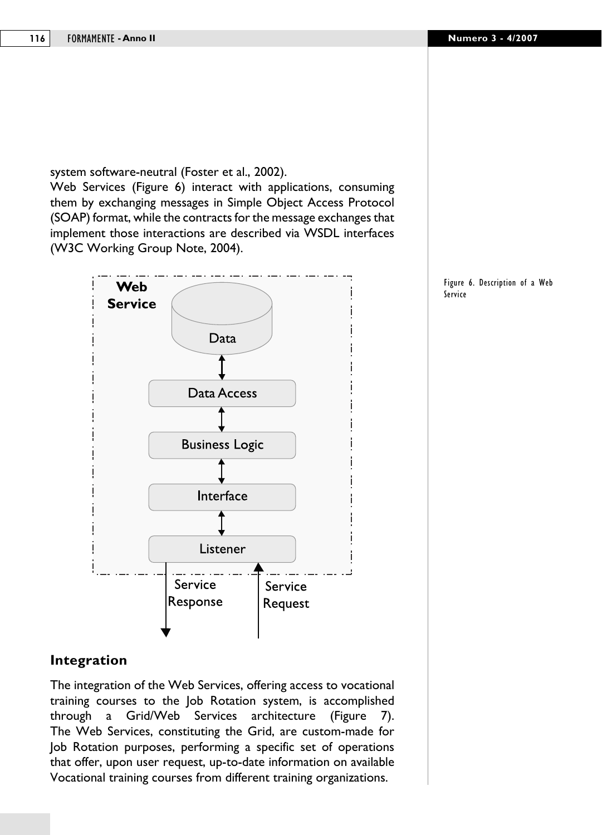system software-neutral (Foster et al., 2002). Web Services (Figure 6) interact with applications, consuming them by exchanging messages in Simple Object Access Protocol (SOAP) format, while the contracts for the message exchanges that implement those interactions are described via WSDL interfaces (W3C Working Group Note, 2004).



#### Figure 6. Description of a Web Service

# **Integration**

The integration of the Web Services, offering access to vocational training courses to the Job Rotation system, is accomplished through a Grid/Web Services architecture (Figure 7). The Web Services, constituting the Grid, are custom-made for Job Rotation purposes, performing a specific set of operations that offer, upon user request, up-to-date information on available Vocational training courses from different training organizations.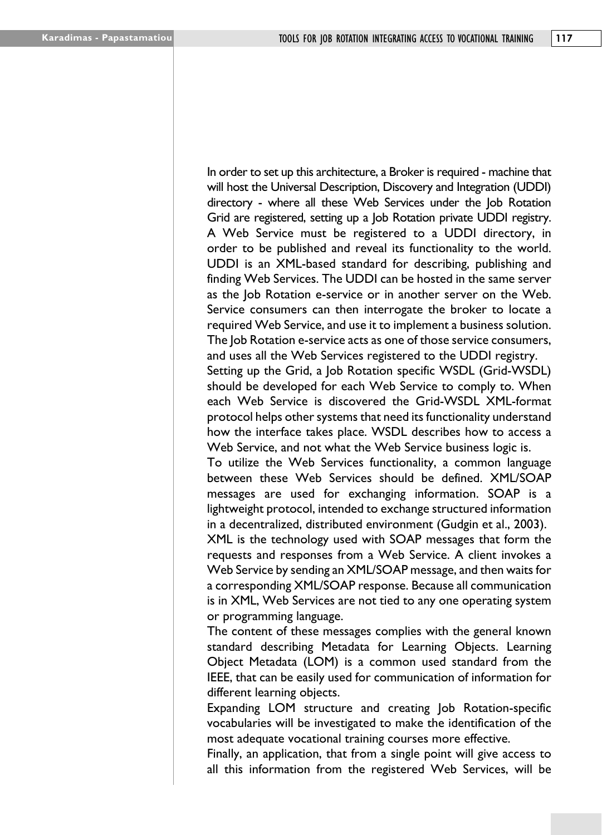In order to set up this architecture, a Broker is required - machine that will host the Universal Description, Discovery and Integration (UDDI) directory - where all these Web Services under the Job Rotation Grid are registered, setting up a Job Rotation private UDDI registry. A Web Service must be registered to a UDDI directory, in order to be published and reveal its functionality to the world. UDDI is an XML-based standard for describing, publishing and finding Web Services. The UDDI can be hosted in the same server as the Job Rotation e-service or in another server on the Web. Service consumers can then interrogate the broker to locate a required Web Service, and use it to implement a business solution. The Job Rotation e-service acts as one of those service consumers, and uses all the Web Services registered to the UDDI registry.

Setting up the Grid, a Job Rotation specific WSDL (Grid-WSDL) should be developed for each Web Service to comply to. When each Web Service is discovered the Grid-WSDL XML-format protocol helps other systems that need its functionality understand how the interface takes place. WSDL describes how to access a Web Service, and not what the Web Service business logic is.

To utilize the Web Services functionality, a common language between these Web Services should be defined. XML/SOAP messages are used for exchanging information. SOAP is a lightweight protocol, intended to exchange structured information in a decentralized, distributed environment (Gudgin et al., 2003).

XML is the technology used with SOAP messages that form the requests and responses from a Web Service. A client invokes a Web Service by sending an XML/SOAP message, and then waits for a corresponding XML/SOAP response. Because all communication is in XML, Web Services are not tied to any one operating system or programming language.

The content of these messages complies with the general known standard describing Metadata for Learning Objects. Learning Object Metadata (LOM) is a common used standard from the IEEE, that can be easily used for communication of information for different learning objects.

Expanding LOM structure and creating Job Rotation-specific vocabularies will be investigated to make the identification of the most adequate vocational training courses more effective.

Finally, an application, that from a single point will give access to all this information from the registered Web Services, will be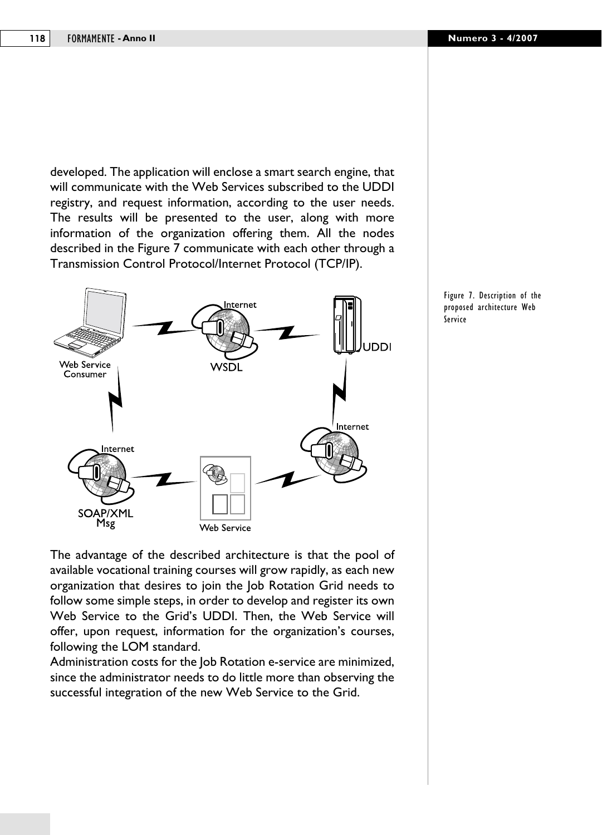developed. The application will enclose a smart search engine, that will communicate with the Web Services subscribed to the UDDI registry, and request information, according to the user needs. The results will be presented to the user, along with more information of the organization offering them. All the nodes described in the Figure 7 communicate with each other through a Transmission Control Protocol/Internet Protocol (TCP/IP).



The advantage of the described architecture is that the pool of available vocational training courses will grow rapidly, as each new organization that desires to join the Job Rotation Grid needs to follow some simple steps, in order to develop and register its own Web Service to the Grid's UDDI. Then, the Web Service will offer, upon request, information for the organization's courses, following the LOM standard.

Administration costs for the Job Rotation e-service are minimized, since the administrator needs to do little more than observing the successful integration of the new Web Service to the Grid.

Figure 7. Description of the proposed architecture Web Service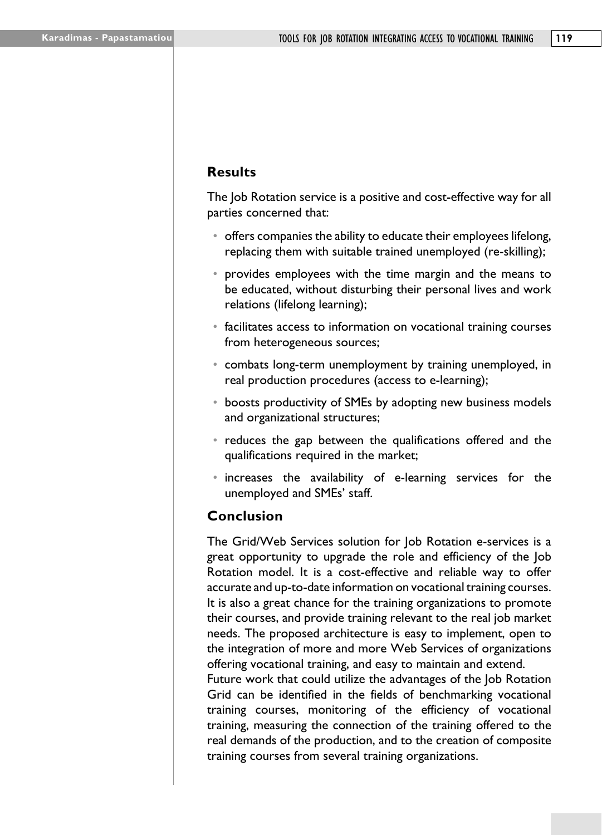# **Results**

The Job Rotation service is a positive and cost-effective way for all parties concerned that:

- offers companies the ability to educate their employees lifelong, replacing them with suitable trained unemployed (re-skilling);
- provides employees with the time margin and the means to be educated, without disturbing their personal lives and work relations (lifelong learning);
- facilitates access to information on vocational training courses from heterogeneous sources;
- combats long-term unemployment by training unemployed, in real production procedures (access to e-learning);
- boosts productivity of SMEs by adopting new business models and organizational structures;
- reduces the gap between the qualifications offered and the qualifications required in the market;
- increases the availability of e-learning services for the unemployed and SMEs' staff.

## **Conclusion**

The Grid/Web Services solution for Job Rotation e-services is a great opportunity to upgrade the role and efficiency of the Job Rotation model. It is a cost-effective and reliable way to offer accurate and up-to-date information on vocational training courses. It is also a great chance for the training organizations to promote their courses, and provide training relevant to the real job market needs. The proposed architecture is easy to implement, open to the integration of more and more Web Services of organizations offering vocational training, and easy to maintain and extend.

Future work that could utilize the advantages of the Job Rotation Grid can be identified in the fields of benchmarking vocational training courses, monitoring of the efficiency of vocational training, measuring the connection of the training offered to the real demands of the production, and to the creation of composite training courses from several training organizations.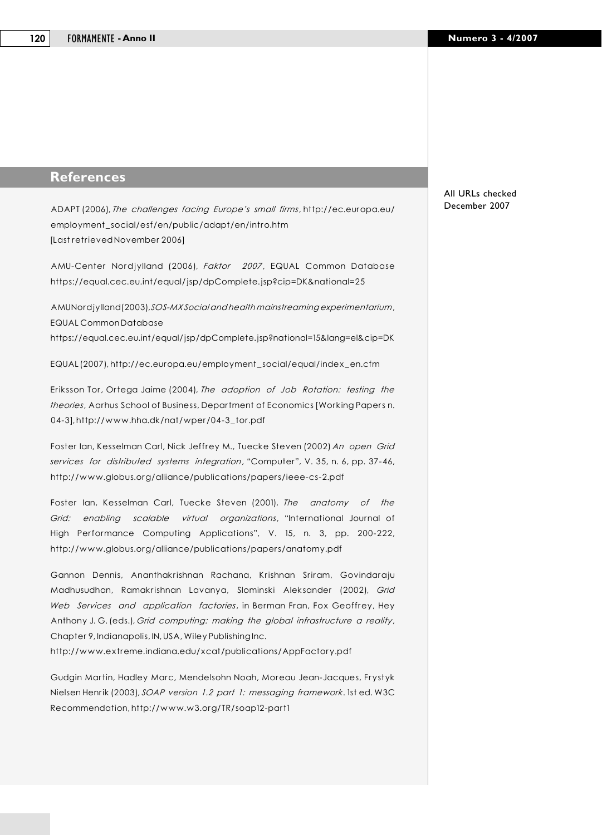## **References**

ADAPT (2006), *The challenges facing Europe's small firms*, http://ec.europa.eu/ employment\_social/esf/en/public/adapt/en/intro.htm [Last retrieved November 2006]

AMU-Center Nordjylland (2006), *Faktor 2007*, EQUAL Common Database https://equal.cec.eu.int/equal/jsp/dpComplete.jsp?cip=DK&national=25

AMU Nordjylland (2003), *SOS-MX Social and health mainstreaming experimentarium*, EQUAL Common Database

https://equal.cec.eu.int/equal/jsp/dpComplete.jsp?national=15&lang=el&cip=DK

EQUAL (2007), http://ec.europa.eu/employment\_social/equal/index\_en.cfm

Eriksson Tor, Ortega Jaime (2004), *The adoption of Job Rotation: testing the theories*, Aarhus School of Business, Department of Economics [Working Papers n. 04-3], http://www.hha.dk/nat/wper/04-3\_tor.pdf

Foster Ian, Kesselman Carl, Nick Jeffrey M., Tuecke Steven (2002) *An open Grid services for distributed systems integration*, "Computer", V. 35, n. 6, pp. 37-46, http://www.globus.org/alliance/publications/papers/ieee-cs-2.pdf

Foster Ian, Kesselman Carl, Tuecke Steven (2001), *The anatomy of the Grid: enabling scalable virtual organizations*, "International Journal of High Performance Computing Applications", V. 15, n. 3, pp. 200-222, http://www.globus.org/alliance/publications/papers/anatomy.pdf

Gannon Dennis, Ananthakrishnan Rachana, Krishnan Sriram, Govindaraju Madhusudhan, Ramakrishnan Lavanya, Slominski Aleksander (2002), *Grid Web Services and application factories*, in Berman Fran, Fox Geoffrey, Hey Anthony J. G. (eds.), *Grid computing: making the global infrastructure a reality*, Chapter 9, Indianapolis, IN, USA, Wiley Publishing Inc.

http://www.extreme.indiana.edu/xcat/publications/AppFactory.pdf

Gudgin Martin, Hadley Marc, Mendelsohn Noah, Moreau Jean-Jacques, Frystyk Nielsen Henrik (2003), *SOAP version 1.2 part 1: messaging framework*. 1st ed. W3C Recommendation, http://www.w3.org/TR/soap12-part1

All URLs checked December 2007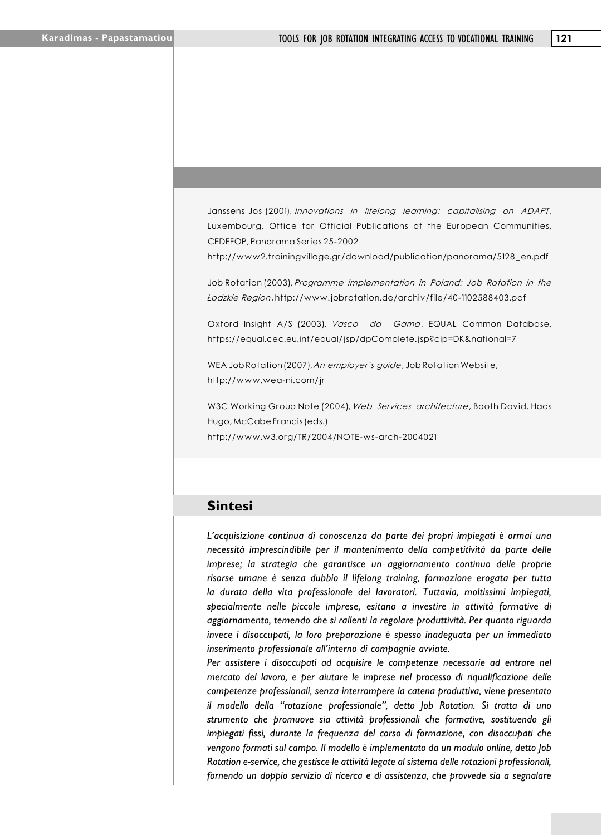Janssens Jos (2001), *Innovations in lifelong learning: capitalising on ADAPT*, Luxembourg, Office for Official Publications of the European Communities, CEDEFOP, Panorama Series 25-2002

http://www2.trainingvillage.gr/download/publication/panorama/5128\_en.pdf

Job Rotation (2003), *Programme implementation in Poland: Job Rotation in the Łodzkie Region*, http://www.jobrotation.de/archiv/file/40-1102588403.pdf

Oxford Insight A/S (2003), *Vasco da Gama*, EQUAL Common Database, https://equal.cec.eu.int/equal/jsp/dpComplete.jsp?cip=DK&national=7

WEA Job Rotation (2007), *An employer's guide*, Job Rotation Website, http://www.wea-ni.com/jr

W3C Working Group Note (2004), *Web Services architecture*, Booth David, Haas Hugo, McCabe Francis (eds.) http://www.w3.org/TR/2004/NOTE-ws-arch-2004021

#### **Sintesi**

*L'acquisizione continua di conoscenza da parte dei propri impiegati è ormai una necessità imprescindibile per il mantenimento della competitività da parte delle imprese; la strategia che garantisce un aggiornamento continuo delle proprie risorse umane è senza dubbio il lifelong training, formazione erogata per tutta la durata della vita professionale dei lavoratori. Tuttavia, moltissimi impiegati, specialmente nelle piccole imprese, esitano a investire in attività formative di aggiornamento, temendo che si rallenti la regolare produttività. Per quanto riguarda invece i disoccupati, la loro preparazione è spesso inadeguata per un immediato inserimento professionale all'interno di compagnie avviate.*

Per assistere i disoccupati ad acquisire le competenze necessarie ad entrare nel *mercato del lavoro, e per aiutare le imprese nel processo di riqualificazione delle competenze professionali, senza interrompere la catena produttiva, viene presentato il modello della "rotazione professionale", detto Job Rotation. Si tratta di uno strumento che promuove sia attività professionali che formative, sostituendo gli impiegati fissi, durante la frequenza del corso di formazione, con disoccupati che vengono formati sul campo. Il modello è implementato da un modulo online, detto Job Rotation e-service, che gestisce le attività legate al sistema delle rotazioni professionali, fornendo un doppio servizio di ricerca e di assistenza, che provvede sia a segnalare*